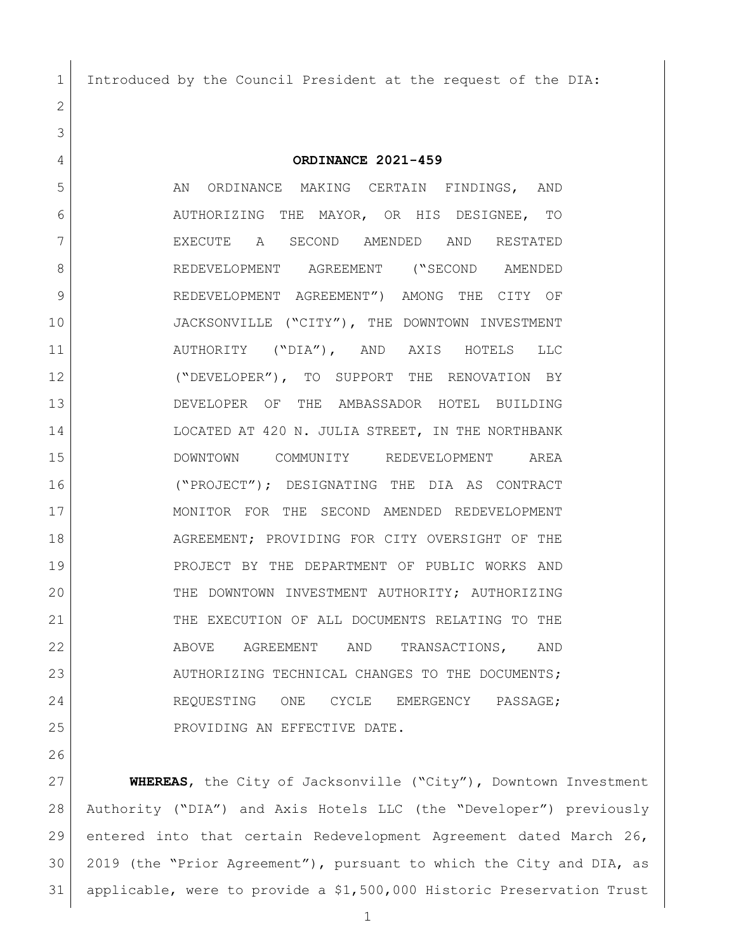Introduced by the Council President at the request of the DIA:

 **ORDINANCE 2021-459** 5 AN ORDINANCE MAKING CERTAIN FINDINGS, AND AUTHORIZING THE MAYOR, OR HIS DESIGNEE, TO EXECUTE A SECOND AMENDED AND RESTATED REDEVELOPMENT AGREEMENT ("SECOND AMENDED REDEVELOPMENT AGREEMENT") AMONG THE CITY OF JACKSONVILLE ("CITY"), THE DOWNTOWN INVESTMENT AUTHORITY ("DIA"), AND AXIS HOTELS LLC ("DEVELOPER"), TO SUPPORT THE RENOVATION BY DEVELOPER OF THE AMBASSADOR HOTEL BUILDING 14 LOCATED AT 420 N. JULIA STREET, IN THE NORTHBANK DOWNTOWN COMMUNITY REDEVELOPMENT AREA ("PROJECT"); DESIGNATING THE DIA AS CONTRACT MONITOR FOR THE SECOND AMENDED REDEVELOPMENT AGREEMENT; PROVIDING FOR CITY OVERSIGHT OF THE PROJECT BY THE DEPARTMENT OF PUBLIC WORKS AND THE DOWNTOWN INVESTMENT AUTHORITY; AUTHORIZING THE EXECUTION OF ALL DOCUMENTS RELATING TO THE 22 ABOVE AGREEMENT AND TRANSACTIONS, AND 23 AUTHORIZING TECHNICAL CHANGES TO THE DOCUMENTS; 24 REQUESTING ONE CYCLE EMERGENCY PASSAGE; 25 PROVIDING AN EFFECTIVE DATE.

 **WHEREAS**, the City of Jacksonville ("City"), Downtown Investment Authority ("DIA") and Axis Hotels LLC (the "Developer") previously entered into that certain Redevelopment Agreement dated March 26, 2019 (the "Prior Agreement"), pursuant to which the City and DIA, as applicable, were to provide a \$1,500,000 Historic Preservation Trust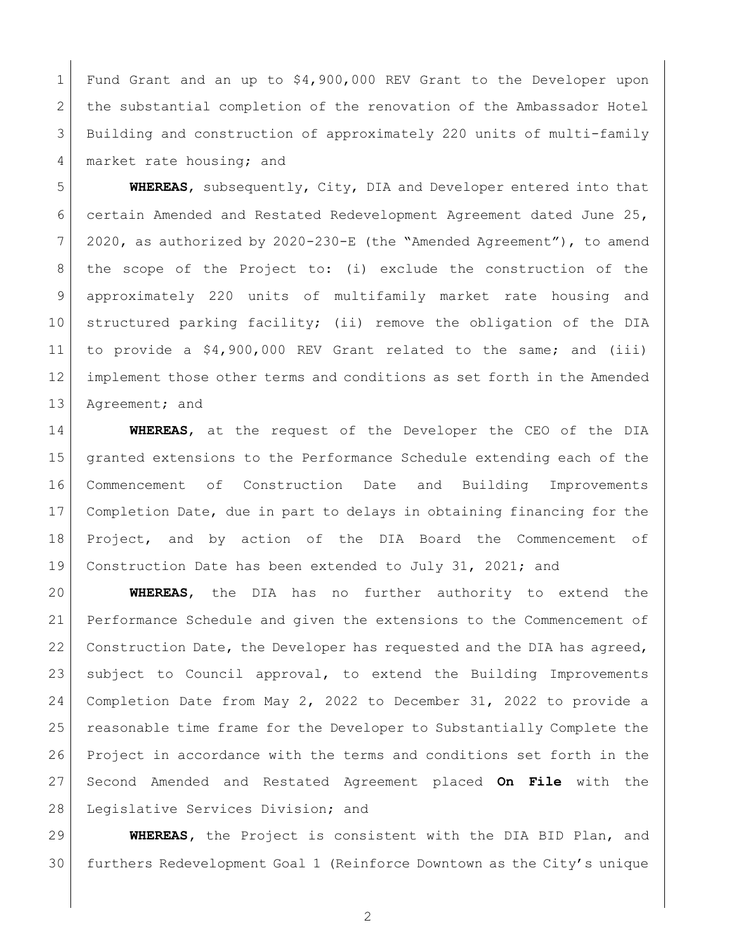Fund Grant and an up to \$4,900,000 REV Grant to the Developer upon 2 the substantial completion of the renovation of the Ambassador Hotel Building and construction of approximately 220 units of multi-family 4 market rate housing; and

 **WHEREAS**, subsequently, City, DIA and Developer entered into that certain Amended and Restated Redevelopment Agreement dated June 25, 2020, as authorized by 2020-230-E (the "Amended Agreement"), to amend the scope of the Project to: (i) exclude the construction of the approximately 220 units of multifamily market rate housing and structured parking facility; (ii) remove the obligation of the DIA to provide a \$4,900,000 REV Grant related to the same; and (iii) implement those other terms and conditions as set forth in the Amended 13 Agreement; and

 **WHEREAS**, at the request of the Developer the CEO of the DIA granted extensions to the Performance Schedule extending each of the Commencement of Construction Date and Building Improvements Completion Date, due in part to delays in obtaining financing for the Project, and by action of the DIA Board the Commencement of 19 Construction Date has been extended to July 31, 2021; and

 **WHEREAS**, the DIA has no further authority to extend the Performance Schedule and given the extensions to the Commencement of 22 Construction Date, the Developer has requested and the DIA has agreed, subject to Council approval, to extend the Building Improvements Completion Date from May 2, 2022 to December 31, 2022 to provide a reasonable time frame for the Developer to Substantially Complete the Project in accordance with the terms and conditions set forth in the Second Amended and Restated Agreement placed **On File** with the 28 Legislative Services Division; and

 **WHEREAS,** the Project is consistent with the DIA BID Plan, and furthers Redevelopment Goal 1 (Reinforce Downtown as the City's unique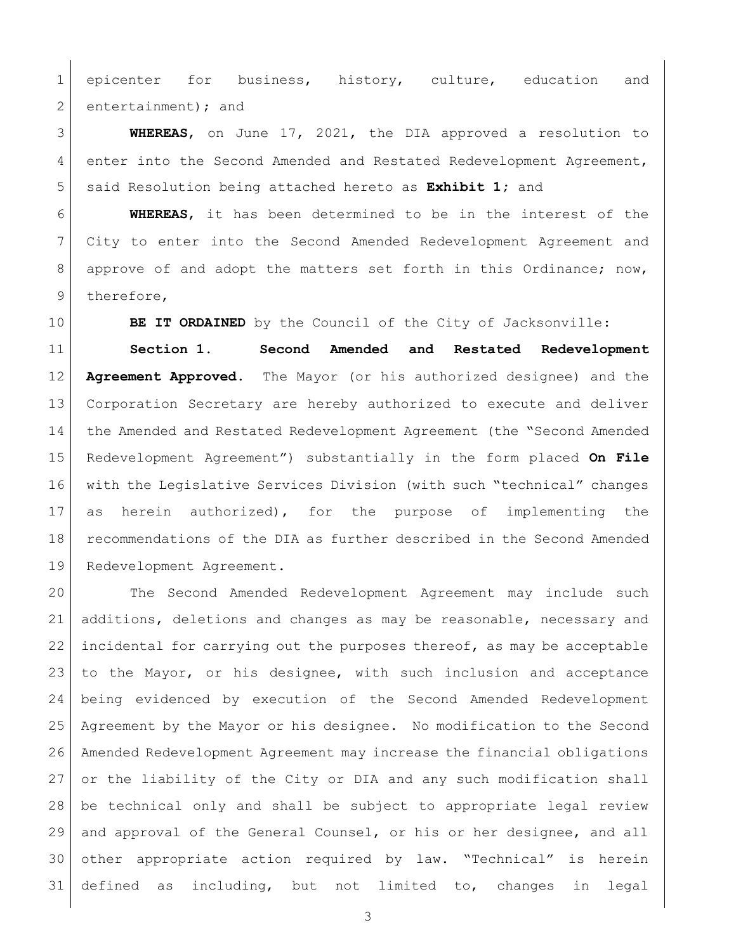1 epicenter for business, history, culture, education and 2 entertainment); and

 **WHEREAS**, on June 17, 2021, the DIA approved a resolution to 4 enter into the Second Amended and Restated Redevelopment Agreement, said Resolution being attached hereto as **Exhibit 1;** and

 **WHEREAS**, it has been determined to be in the interest of the City to enter into the Second Amended Redevelopment Agreement and 8 approve of and adopt the matters set forth in this Ordinance; now, 9 therefore,

**BE IT ORDAINED** by the Council of the City of Jacksonville:

 **Section 1. Second Amended and Restated Redevelopment Agreement Approved.** The Mayor (or his authorized designee) and the Corporation Secretary are hereby authorized to execute and deliver the Amended and Restated Redevelopment Agreement (the "Second Amended Redevelopment Agreement") substantially in the form placed **On File** with the Legislative Services Division (with such "technical" changes as herein authorized), for the purpose of implementing the recommendations of the DIA as further described in the Second Amended Redevelopment Agreement.

 The Second Amended Redevelopment Agreement may include such additions, deletions and changes as may be reasonable, necessary and 22 incidental for carrying out the purposes thereof, as may be acceptable 23 to the Mayor, or his designee, with such inclusion and acceptance being evidenced by execution of the Second Amended Redevelopment Agreement by the Mayor or his designee. No modification to the Second Amended Redevelopment Agreement may increase the financial obligations or the liability of the City or DIA and any such modification shall be technical only and shall be subject to appropriate legal review 29 and approval of the General Counsel, or his or her designee, and all other appropriate action required by law. "Technical" is herein defined as including, but not limited to, changes in legal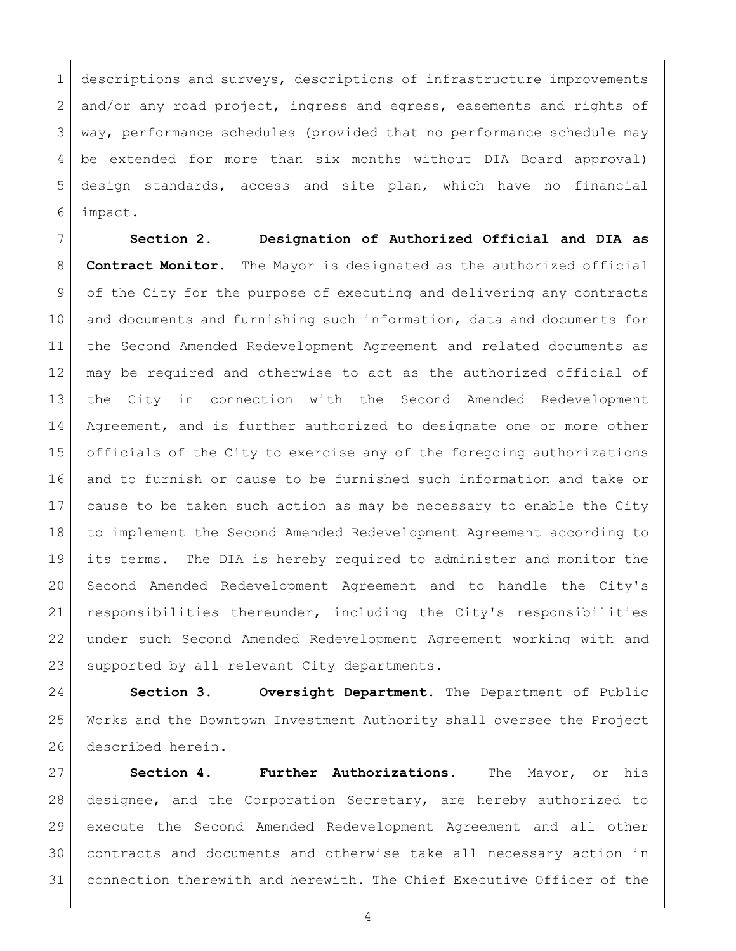descriptions and surveys, descriptions of infrastructure improvements  $2 \mid$  and/or any road project, ingress and egress, easements and rights of way, performance schedules (provided that no performance schedule may be extended for more than six months without DIA Board approval) design standards, access and site plan, which have no financial impact.

 **Section 2. Designation of Authorized Official and DIA as Contract Monitor.** The Mayor is designated as the authorized official of the City for the purpose of executing and delivering any contracts and documents and furnishing such information, data and documents for the Second Amended Redevelopment Agreement and related documents as may be required and otherwise to act as the authorized official of the City in connection with the Second Amended Redevelopment 14 | Agreement, and is further authorized to designate one or more other officials of the City to exercise any of the foregoing authorizations and to furnish or cause to be furnished such information and take or cause to be taken such action as may be necessary to enable the City to implement the Second Amended Redevelopment Agreement according to its terms. The DIA is hereby required to administer and monitor the Second Amended Redevelopment Agreement and to handle the City's responsibilities thereunder, including the City's responsibilities under such Second Amended Redevelopment Agreement working with and 23 | supported by all relevant City departments.

 **Section 3. Oversight Department.** The Department of Public Works and the Downtown Investment Authority shall oversee the Project 26 described herein.

 **Section 4. Further Authorizations.** The Mayor, or his designee, and the Corporation Secretary, are hereby authorized to execute the Second Amended Redevelopment Agreement and all other contracts and documents and otherwise take all necessary action in connection therewith and herewith. The Chief Executive Officer of the